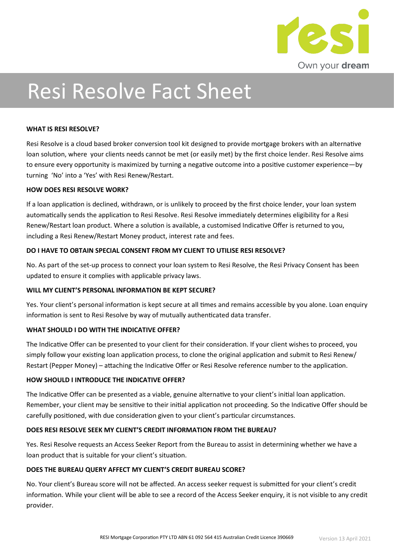

# Resi Resolve Fact Sheet

### **WHAT IS RESI RESOLVE?**

Resi Resolve is a cloud based broker conversion tool kit designed to provide mortgage brokers with an alternative loan solution, where your clients needs cannot be met (or easily met) by the first choice lender. Resi Resolve aims to ensure every opportunity is maximized by turning a negative outcome into a positive customer experience—by turning 'No' into a 'Yes' with Resi Renew/Restart.

### **HOW DOES RESI RESOLVE WORK?**

If a loan application is declined, withdrawn, or is unlikely to proceed by the first choice lender, your loan system automatically sends the application to Resi Resolve. Resi Resolve immediately determines eligibility for a Resi Renew/Restart loan product. Where a solution is available, a customised Indicative Offer is returned to you, including a Resi Renew/Restart Money product, interest rate and fees.

### **DO I HAVE TO OBTAIN SPECIAL CONSENT FROM MY CLIENT TO UTILISE RESI RESOLVE?**

No. As part of the set-up process to connect your loan system to Resi Resolve, the Resi Privacy Consent has been updated to ensure it complies with applicable privacy laws.

### **WILL MY CLIENT'S PERSONAL INFORMATION BE KEPT SECURE?**

Yes. Your client's personal information is kept secure at all times and remains accessible by you alone. Loan enquiry information is sent to Resi Resolve by way of mutually authenticated data transfer.

### **WHAT SHOULD I DO WITH THE INDICATIVE OFFER?**

The Indicative Offer can be presented to your client for their consideration. If your client wishes to proceed, you simply follow your existing loan application process, to clone the original application and submit to Resi Renew/ Restart (Pepper Money) – attaching the Indicative Offer or Resi Resolve reference number to the application.

### **HOW SHOULD I INTRODUCE THE INDICATIVE OFFER?**

The Indicative Offer can be presented as a viable, genuine alternative to your client's initial loan application. Remember, your client may be sensitive to their initial application not proceeding. So the Indicative Offer should be carefully positioned, with due consideration given to your client's particular circumstances.

## **DOES RESI RESOLVE SEEK MY CLIENT'S CREDIT INFORMATION FROM THE BUREAU?**

Yes. Resi Resolve requests an Access Seeker Report from the Bureau to assist in determining whether we have a loan product that is suitable for your client's situation.

### **DOES THE BUREAU QUERY AFFECT MY CLIENT'S CREDIT BUREAU SCORE?**

No. Your client's Bureau score will not be affected. An access seeker request is submitted for your client's credit information. While your client will be able to see a record of the Access Seeker enquiry, it is not visible to any credit provider.